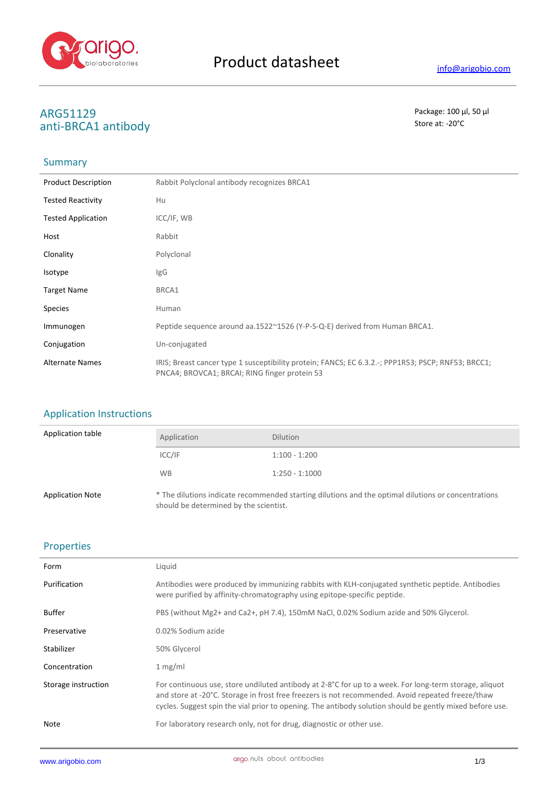

# **ARG51129** Package: 100 μl, 50 μl<br>
2011 PBCA1 2ntibody anti-BRCA1 antibody

## Summary

| <b>Product Description</b> | Rabbit Polyclonal antibody recognizes BRCA1                                                                                                         |
|----------------------------|-----------------------------------------------------------------------------------------------------------------------------------------------------|
| <b>Tested Reactivity</b>   | Hu                                                                                                                                                  |
| <b>Tested Application</b>  | ICC/IF, WB                                                                                                                                          |
| Host                       | Rabbit                                                                                                                                              |
| Clonality                  | Polyclonal                                                                                                                                          |
| Isotype                    | <b>IgG</b>                                                                                                                                          |
| <b>Target Name</b>         | BRCA1                                                                                                                                               |
| <b>Species</b>             | Human                                                                                                                                               |
| Immunogen                  | Peptide sequence around aa.1522~1526 (Y-P-S-Q-E) derived from Human BRCA1.                                                                          |
| Conjugation                | Un-conjugated                                                                                                                                       |
| <b>Alternate Names</b>     | IRIS; Breast cancer type 1 susceptibility protein; FANCS; EC 6.3.2.-; PPP1R53; PSCP; RNF53; BRCC1;<br>PNCA4; BROVCA1; BRCAI; RING finger protein 53 |

### Application Instructions

| Application table       | Application                            | <b>Dilution</b>                                                                                     |
|-------------------------|----------------------------------------|-----------------------------------------------------------------------------------------------------|
|                         | ICC/IF                                 | $1:100 - 1:200$                                                                                     |
|                         | WB.                                    | $1:250 - 1:1000$                                                                                    |
| <b>Application Note</b> | should be determined by the scientist. | * The dilutions indicate recommended starting dilutions and the optimal dilutions or concentrations |

### Properties

| Form                | Liquid                                                                                                                                                                                                                                                                                                                             |
|---------------------|------------------------------------------------------------------------------------------------------------------------------------------------------------------------------------------------------------------------------------------------------------------------------------------------------------------------------------|
| Purification        | Antibodies were produced by immunizing rabbits with KLH-conjugated synthetic peptide. Antibodies<br>were purified by affinity-chromatography using epitope-specific peptide.                                                                                                                                                       |
| <b>Buffer</b>       | PBS (without Mg2+ and Ca2+, pH 7.4), 150mM NaCl, 0.02% Sodium azide and 50% Glycerol.                                                                                                                                                                                                                                              |
| Preservative        | 0.02% Sodium azide                                                                                                                                                                                                                                                                                                                 |
| Stabilizer          | 50% Glycerol                                                                                                                                                                                                                                                                                                                       |
| Concentration       | 1 mg/ml                                                                                                                                                                                                                                                                                                                            |
| Storage instruction | For continuous use, store undiluted antibody at 2-8 $^{\circ}$ C for up to a week. For long-term storage, aliquot<br>and store at -20°C. Storage in frost free freezers is not recommended. Avoid repeated freeze/thaw<br>cycles. Suggest spin the vial prior to opening. The antibody solution should be gently mixed before use. |
| Note                | For laboratory research only, not for drug, diagnostic or other use.                                                                                                                                                                                                                                                               |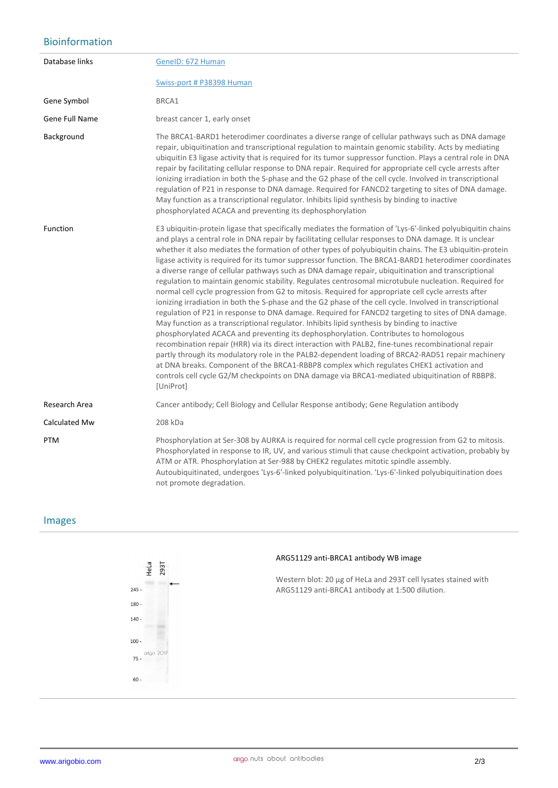### Bioinformation

| Database links | GenelD: 672 Human                                                                                                                                                                                                                                                                                                                                                                                                                                                                                                                                                                                                                                                                                                                                                                                                                                                                                                                                                                                                                                                                                                                                                                                                                                                                                                                                                                                                                                                                                                                                                                                |
|----------------|--------------------------------------------------------------------------------------------------------------------------------------------------------------------------------------------------------------------------------------------------------------------------------------------------------------------------------------------------------------------------------------------------------------------------------------------------------------------------------------------------------------------------------------------------------------------------------------------------------------------------------------------------------------------------------------------------------------------------------------------------------------------------------------------------------------------------------------------------------------------------------------------------------------------------------------------------------------------------------------------------------------------------------------------------------------------------------------------------------------------------------------------------------------------------------------------------------------------------------------------------------------------------------------------------------------------------------------------------------------------------------------------------------------------------------------------------------------------------------------------------------------------------------------------------------------------------------------------------|
|                | Swiss-port # P38398 Human                                                                                                                                                                                                                                                                                                                                                                                                                                                                                                                                                                                                                                                                                                                                                                                                                                                                                                                                                                                                                                                                                                                                                                                                                                                                                                                                                                                                                                                                                                                                                                        |
| Gene Symbol    | BRCA1                                                                                                                                                                                                                                                                                                                                                                                                                                                                                                                                                                                                                                                                                                                                                                                                                                                                                                                                                                                                                                                                                                                                                                                                                                                                                                                                                                                                                                                                                                                                                                                            |
| Gene Full Name | breast cancer 1, early onset                                                                                                                                                                                                                                                                                                                                                                                                                                                                                                                                                                                                                                                                                                                                                                                                                                                                                                                                                                                                                                                                                                                                                                                                                                                                                                                                                                                                                                                                                                                                                                     |
| Background     | The BRCA1-BARD1 heterodimer coordinates a diverse range of cellular pathways such as DNA damage<br>repair, ubiquitination and transcriptional regulation to maintain genomic stability. Acts by mediating<br>ubiquitin E3 ligase activity that is required for its tumor suppressor function. Plays a central role in DNA<br>repair by facilitating cellular response to DNA repair. Required for appropriate cell cycle arrests after<br>ionizing irradiation in both the S-phase and the G2 phase of the cell cycle. Involved in transcriptional<br>regulation of P21 in response to DNA damage. Required for FANCD2 targeting to sites of DNA damage.<br>May function as a transcriptional regulator. Inhibits lipid synthesis by binding to inactive<br>phosphorylated ACACA and preventing its dephosphorylation                                                                                                                                                                                                                                                                                                                                                                                                                                                                                                                                                                                                                                                                                                                                                                            |
| Function       | E3 ubiquitin-protein ligase that specifically mediates the formation of 'Lys-6'-linked polyubiquitin chains<br>and plays a central role in DNA repair by facilitating cellular responses to DNA damage. It is unclear<br>whether it also mediates the formation of other types of polyubiquitin chains. The E3 ubiquitin-protein<br>ligase activity is required for its tumor suppressor function. The BRCA1-BARD1 heterodimer coordinates<br>a diverse range of cellular pathways such as DNA damage repair, ubiquitination and transcriptional<br>regulation to maintain genomic stability. Regulates centrosomal microtubule nucleation. Required for<br>normal cell cycle progression from G2 to mitosis. Required for appropriate cell cycle arrests after<br>ionizing irradiation in both the S-phase and the G2 phase of the cell cycle. Involved in transcriptional<br>regulation of P21 in response to DNA damage. Required for FANCD2 targeting to sites of DNA damage.<br>May function as a transcriptional regulator. Inhibits lipid synthesis by binding to inactive<br>phosphorylated ACACA and preventing its dephosphorylation. Contributes to homologous<br>recombination repair (HRR) via its direct interaction with PALB2, fine-tunes recombinational repair<br>partly through its modulatory role in the PALB2-dependent loading of BRCA2-RAD51 repair machinery<br>at DNA breaks. Component of the BRCA1-RBBP8 complex which regulates CHEK1 activation and<br>controls cell cycle G2/M checkpoints on DNA damage via BRCA1-mediated ubiquitination of RBBP8.<br>[UniProt] |
| Research Area  | Cancer antibody; Cell Biology and Cellular Response antibody; Gene Regulation antibody                                                                                                                                                                                                                                                                                                                                                                                                                                                                                                                                                                                                                                                                                                                                                                                                                                                                                                                                                                                                                                                                                                                                                                                                                                                                                                                                                                                                                                                                                                           |
| Calculated Mw  | 208 kDa                                                                                                                                                                                                                                                                                                                                                                                                                                                                                                                                                                                                                                                                                                                                                                                                                                                                                                                                                                                                                                                                                                                                                                                                                                                                                                                                                                                                                                                                                                                                                                                          |
| <b>PTM</b>     | Phosphorylation at Ser-308 by AURKA is required for normal cell cycle progression from G2 to mitosis.<br>Phosphorylated in response to IR, UV, and various stimuli that cause checkpoint activation, probably by<br>ATM or ATR. Phosphorylation at Ser-988 by CHEK2 regulates mitotic spindle assembly.<br>Autoubiquitinated, undergoes 'Lys-6'-linked polyubiquitination. 'Lys-6'-linked polyubiquitination does<br>not promote degradation.                                                                                                                                                                                                                                                                                                                                                                                                                                                                                                                                                                                                                                                                                                                                                                                                                                                                                                                                                                                                                                                                                                                                                    |

### Images



### **ARG51129 anti-BRCA1 antibody WB image**

Western blot: 20 µg of HeLa and 293T cell lysates stained with ARG51129 anti-BRCA1 antibody at 1:500 dilution.